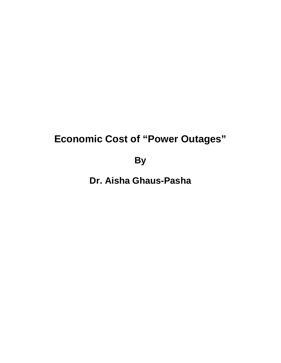# **Economic Cost of "Power Outages"**

**By**

**Dr. Aisha Ghaus-Pasha**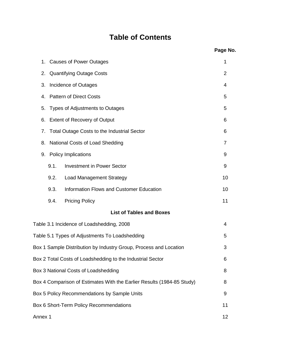# **Table of Contents**

|                                         |      |                                                                        | Page No.       |
|-----------------------------------------|------|------------------------------------------------------------------------|----------------|
| 1.                                      |      | <b>Causes of Power Outages</b>                                         | 1              |
| 2.                                      |      | <b>Quantifying Outage Costs</b>                                        | 2              |
| 3.                                      |      | Incidence of Outages                                                   | 4              |
|                                         |      | 4. Pattern of Direct Costs                                             | 5              |
| 5.                                      |      | Types of Adjustments to Outages                                        | 5              |
| 6.                                      |      | <b>Extent of Recovery of Output</b>                                    | 6              |
| 7.                                      |      | <b>Total Outage Costs to the Industrial Sector</b>                     | 6              |
| 8.                                      |      | National Costs of Load Shedding                                        | $\overline{7}$ |
| 9.                                      |      | <b>Policy Implications</b>                                             | 9              |
|                                         | 9.1. | <b>Investment in Power Sector</b>                                      | 9              |
|                                         | 9.2. | <b>Load Management Strategy</b>                                        | 10             |
|                                         | 9.3. | Information Flows and Customer Education                               | 10             |
|                                         | 9.4. | <b>Pricing Policy</b>                                                  | 11             |
|                                         |      | <b>List of Tables and Boxes</b>                                        |                |
|                                         |      | Table 3.1 Incidence of Loadshedding, 2008                              | 4              |
|                                         |      | Table 5.1 Types of Adjustments To Loadshedding                         | 5              |
|                                         |      | Box 1 Sample Distribution by Industry Group, Process and Location      | 3              |
|                                         |      | Box 2 Total Costs of Loadshedding to the Industrial Sector             | 6              |
|                                         |      | Box 3 National Costs of Loadshedding                                   | 8              |
|                                         |      | Box 4 Comparison of Estimates With the Earlier Results (1984-85 Study) | 8              |
|                                         |      | Box 5 Policy Recommendations by Sample Units                           | 9              |
| Box 6 Short-Term Policy Recommendations |      |                                                                        | 11             |
| Annex 1                                 |      |                                                                        | 12             |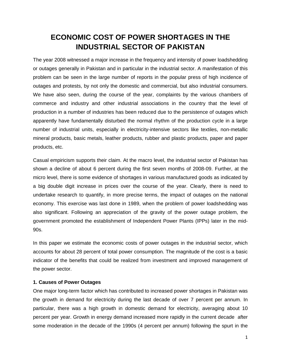# **ECONOMIC COST OF POWER SHORTAGES IN THE INDUSTRIAL SECTOR OF PAKISTAN**

The year 2008 witnessed a major increase in the frequency and intensity of power loadshedding or outages generally in Pakistan and in particular in the industrial sector. A manifestation of this problem can be seen in the large number of reports in the popular press of high incidence of outages and protests, by not only the domestic and commercial, but also industrial consumers. We have also seen, during the course of the year, complaints by the various chambers of commerce and industry and other industrial associations in the country that the level of production in a number of industries has been reduced due to the persistence of outages which apparently have fundamentally disturbed the normal rhythm of the production cycle in a large number of industrial units, especially in electricity-intensive sectors like textiles, non-metallic mineral products, basic metals, leather products, rubber and plastic products, paper and paper products, etc.

Casual empiricism supports their claim. At the macro level, the industrial sector of Pakistan has shown a decline of about 6 percent during the first seven months of 2008-09. Further, at the micro level, there is some evidence of shortages in various manufactured goods as indicated by a big double digit increase in prices over the course of the year. Clearly, there is need to undertake research to quantify, in more precise terms, the impact of outages on the national economy. This exercise was last done in 1989, when the problem of power loadshedding was also significant. Following an appreciation of the gravity of the power outage problem, the government promoted the establishment of Independent Power Plants (IPPs) later in the mid-90s.

In this paper we estimate the economic costs of power outages in the industrial sector, which accounts for about 28 percent of total power consumption. The magnitude of the cost is a basic indicator of the benefits that could be realized from investment and improved management of the power sector.

### **1. Causes of Power Outages**

One major long-term factor which has contributed to increased power shortages in Pakistan was the growth in demand for electricity during the last decade of over 7 percent per annum. In particular, there was a high growth in domestic demand for electricity, averaging about 10 percent per year. Growth in energy demand increased more rapidly in the current decade after some moderation in the decade of the 1990s (4 percent per annum) following the spurt in the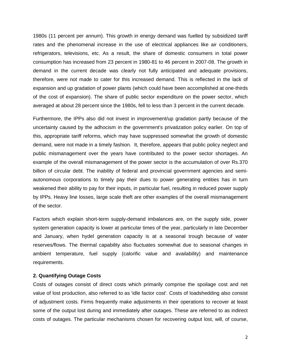1980s (11 percent per annum). This growth in energy demand was fuelled by subsidized tariff rates and the phenomenal increase in the use of electrical appliances like air conditioners, refrigerators, televisions, etc. As a result, the share of domestic consumers in total power consumption has increased from 23 percent in 1980-81 to 46 percent in 2007-08. The growth in demand in the current decade was clearly not fully anticipated and adequate provisions, therefore, were not made to cater for this increased demand. This is reflected in the lack of expansion and up gradation of power plants (which could have been accomplished at one-thirds of the cost of expansion). The share of public sector expenditure on the power sector, which averaged at about 28 percent since the 1980s, fell to less than 3 percent in the current decade.

Furthermore, the IPPs also did not invest in improvement/up gradation partly because of the uncertainty caused by the adhocism in the government's privatization policy earlier. On top of this, appropriate tariff reforms, which may have suppressed somewhat the growth of domestic demand, were not made in a timely fashion. It, therefore, appears that public policy neglect and public mismanagement over the years have contributed to the power sector shortages. An example of the overall mismanagement of the power sector is the accumulation of over Rs.370 billion of circular debt. The inability of federal and provincial government agencies and semiautonomous corporations to timely pay their dues to power generating entities has in turn weakened their ability to pay for their inputs, in particular fuel, resulting in reduced power supply by IPPs. Heavy line losses, large scale theft are other examples of the overall mismanagement of the sector.

Factors which explain short-term supply-demand imbalances are, on the supply side, power system generation capacity is lower at particular times of the year, particularly in late December and January, when hydel generation capacity is at a seasonal trough because of water reserves/flows. The thermal capability also fluctuates somewhat due to seasonal changes in ambient temperature, fuel supply (calorific value and availability) and maintenance requirements.

#### **2. Quantifying Outage Costs**

Costs of outages consist of direct costs which primarily comprise the spoilage cost and net value of lost production, also referred to as 'idle factor cost'. Costs of loadshedding also consist of adjustment costs. Firms frequently make adjustments in their operations to recover at least some of the output lost during and immediately after outages. These are referred to as indirect costs of outages. The particular mechanisms chosen for recovering output lost, will, of course,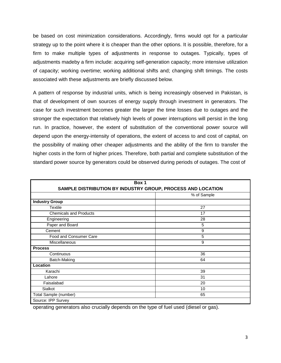be based on cost minimization considerations. Accordingly, firms would opt for a particular strategy up to the point where it is cheaper than the other options. It is possible, therefore, for a firm to make multiple types of adjustments in response to outages. Typically, types of adjustments madeby a firm include: acquiring self-generation capacity; more intensive utilization of capacity; working overtime; working additional shifts and; changing shift timings. The costs associated with these adjustments are briefly discussed below.

A pattern of response by industrial units, which is being increasingly observed in Pakistan, is that of development of own sources of energy supply through investment in generators. The case for such investment becomes greater the larger the time losses due to outages and the stronger the expectation that relatively high levels of power interruptions will persist in the long run. In practice, however, the extent of substitution of the conventional power source will depend upon the energy-intensity of operations, the extent of access to and cost of capital, on the possibility of making other cheaper adjustments and the ability of the firm to transfer the higher costs in the form of higher prices. Therefore, both partial and complete substitution of the standard power source by generators could be observed during periods of outages. The cost of

| Box 1                                                       |             |  |
|-------------------------------------------------------------|-------------|--|
| SAMPLE DISTRIBUTION BY INDUSTRY GROUP, PROCESS AND LOCATION |             |  |
|                                                             | % of Sample |  |
| <b>Industry Group</b>                                       |             |  |
| Textile                                                     | 27          |  |
| <b>Chemicals and Products</b>                               | 17          |  |
| Engineering                                                 | 28          |  |
| Paper and Board                                             | 5           |  |
| Cement                                                      | 9           |  |
| Food and Consumer Care                                      | 5           |  |
| Miscellaneous                                               | 9           |  |
| <b>Process</b>                                              |             |  |
| Continuous                                                  | 36          |  |
| Batch-Making                                                | 64          |  |
| Location                                                    |             |  |
| Karachi                                                     | 39          |  |
| Lahore                                                      | 31          |  |
| Faisalabad                                                  | 20          |  |
| Sialkot                                                     | 10          |  |
| Total Sample (number)                                       | 65          |  |
| Source: IPP Survey                                          |             |  |

operating generators also crucially depends on the type of fuel used (diesel or gas).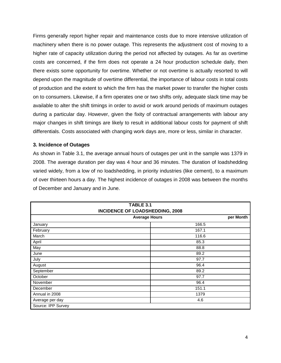Firms generally report higher repair and maintenance costs due to more intensive utilization of machinery when there is no power outage. This represents the adjustment cost of moving to a higher rate of capacity utilization during the period not affected by outages. As far as overtime costs are concerned, if the firm does not operate a 24 hour production schedule daily, then there exists some opportunity for overtime. Whether or not overtime is actually resorted to will depend upon the magnitude of overtime differential, the importance of labour costs in total costs of production and the extent to which the firm has the market power to transfer the higher costs on to consumers. Likewise, if a firm operates one or two shifts only, adequate slack time may be available to alter the shift timings in order to avoid or work around periods of maximum outages during a particular day. However, given the fixity of contractual arrangements with labour any major changes in shift timings are likely to result in additional labour costs for payment of shift differentials. Costs associated with changing work days are, more or less, similar in character.

### **3. Incidence of Outages**

As shown in Table 3.1, the average annual hours of outages per unit in the sample was 1379 in 2008. The average duration per day was 4 hour and 36 minutes. The duration of loadshedding varied widely, from a low of no loadshedding, in priority industries (like cement), to a maximum of over thirteen hours a day. The highest incidence of outages in 2008 was between the months of December and January and in June.

|                    | <b>TABLE 3.1</b>                       |
|--------------------|----------------------------------------|
|                    | <b>INCIDENCE OF LOADSHEDDING, 2008</b> |
|                    | <b>Average Hours</b><br>per Month      |
| January            | 166.5                                  |
| February           | 167.1                                  |
| March              | 116.6                                  |
| April              | 85.3                                   |
| May                | 88.8                                   |
| June               | 89.2                                   |
| July               | 97.7                                   |
| August             | 96.4                                   |
| September          | 89.2                                   |
| October            | 97.7                                   |
| November           | 96.4                                   |
| December           | 151.1                                  |
| Annual in 2008     | 1379                                   |
| Average per day    | 4.6                                    |
| Source: IPP Survey |                                        |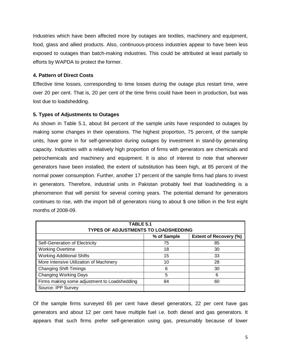Industries which have been affected more by outages are textiles, machinery and equipment, food, glass and allied products. Also, continuous-process industries appear to have been less exposed to outages than batch-making industries. This could be attributed at least partially to efforts by WAPDA to protect the former.

## **4. Pattern of Direct Costs**

Effective time losses, corresponding to time losses during the outage plus restart time, were over 20 per cent. That is, 20 per cent of the time firms could have been in production, but was lost due to loadshedding.

# **5. Types of Adjustments to Outages**

As shown in Table 5.1, about 84 percent of the sample units have responded to outages by making some changes in their operations. The highest proportion, 75 percent, of the sample units, have gone in for self-generation during outages by investment in stand-by generating capacity. Industries with a relatively high proportion of firms with generators are chemicals and petrochemicals and machinery and equipment. It is also of interest to note that wherever generators have been installed, the extent of substitution has been high, at 85 percent of the normal power consumption. Further, another 17 percent of the sample firms had plans to invest in generators. Therefore, industrial units in Pakistan probably feel that loadshedding is a phenomenon that will persist for several coming years. The potential demand for generators continues to rise, with the import bill of generators rising to about \$ one billion in the first eight months of 2008-09.

| TABLE 5.1<br><b>TYPES OF ADJUSTMENTS TO LOADSHEDDING</b> |             |                               |  |
|----------------------------------------------------------|-------------|-------------------------------|--|
|                                                          | % of Sample | <b>Extent of Recovery (%)</b> |  |
| Self-Generation of Electricity                           | 75          | 85                            |  |
| <b>Working Overtime</b>                                  | 18          | 30                            |  |
| <b>Working Additional Shifts</b>                         | 15          | 33                            |  |
| More Intensive Utilization of Machinery                  | 10          | 28                            |  |
| <b>Changing Shift Timings</b>                            | 6           | 30                            |  |
| <b>Changing Working Days</b>                             | 5           | 6                             |  |
| Firms making some adjustment to Loadshedding             | 84          | 60                            |  |
| Source: IPP Survey                                       |             |                               |  |

Of the sample firms surveyed 65 per cent have diesel generators, 22 per cent have gas generators and about 12 per cent have multiple fuel i.e. both diesel and gas generators. It appears that such firms prefer self-generation using gas, presumably because of lower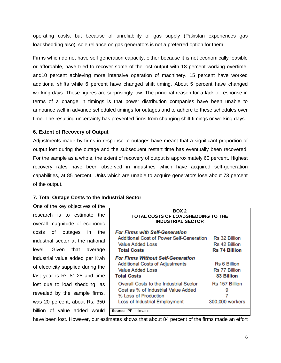operating costs, but because of unreliability of gas supply (Pakistan experiences gas loadshedding also), sole reliance on gas generators is not a preferred option for them.

Firms which do not have self generation capacity, either because it is not economically feasible or affordable, have tried to recover some of the lost output with 18 percent working overtime, and10 percent achieving more intensive operation of machinery. 15 percent have worked additional shifts while 6 percent have changed shift timing. About 5 percent have changed working days. These figures are surprisingly low. The principal reason for a lack of response in terms of a change in timings is that power distribution companies have been unable to announce well in advance scheduled timings for outages and to adhere to these schedules over time. The resulting uncertainty has prevented firms from changing shift timings or working days.

#### **6. Extent of Recovery of Output**

Adjustments made by firms in response to outages have meant that a significant proportion of output lost during the outage and the subsequent restart time has eventually been recovered. For the sample as a whole, the extent of recovery of output is approximately 60 percent. Highest recovery rates have been observed in industries which have acquired self-generation capabilities, at 85 percent. Units which are unable to acquire generators lose about 73 percent of the output.

### **7. Total Outage Costs to the Industrial Sector**

One of the key objectives of the research is to estimate the overall magnitude of economic costs of outages in the industrial sector at the national level. Given that average industrial value added per Kwh of electricity supplied during the last year is Rs 81.25 and time lost due to load shedding, as revealed by the sample firms, was 20 percent, about Rs. 350 billion of value added would

| BOX <sub>2</sub><br><b>TOTAL COSTS OF LOADSHEDDING TO THE</b><br><b>INDUSTRIAL SECTOR</b> |                      |
|-------------------------------------------------------------------------------------------|----------------------|
| <b>For Firms with Self-Generation</b>                                                     |                      |
| <b>Additional Cost of Power Self-Generation</b>                                           | Rs 32 Billion        |
| Value Added Loss                                                                          | <b>Rs 42 Billion</b> |
| <b>Total Costs</b>                                                                        | <b>Rs 74 Billion</b> |
| <b>For Firms Without Self-Generation</b>                                                  |                      |
| <b>Additional Costs of Adjustments</b>                                                    | Rs 6 Billion         |
| Value Added Loss                                                                          | Rs 77 Billion        |
| <b>Total Costs</b>                                                                        | 83 Billion           |
| Overall Costs to the Industrial Sector                                                    | Rs 157 Billion       |
| Cost as % of Industrial Value Added                                                       |                      |
| % Loss of Production                                                                      |                      |
| Loss of Industrial Employment                                                             | 300,000 workers      |
| Source: IPP estimates                                                                     |                      |

have been lost. However, our estimates shows that about 84 percent of the firms made an effort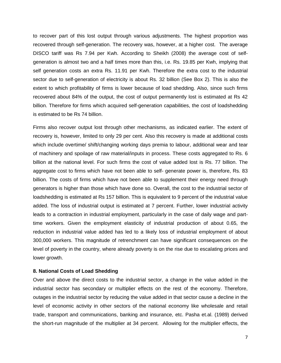to recover part of this lost output through various adjustments. The highest proportion was recovered through self-generation. The recovery was, however, at a higher cost. The average DISCO tariff was Rs 7.94 per Kwh. According to Sheikh (2008) the average cost of selfgeneration is almost two and a half times more than this, i.e. Rs. 19.85 per Kwh, implying that self generation costs an extra Rs. 11.91 per Kwh. Therefore the extra cost to the industrial sector due to self-generation of electricity is about Rs. 32 billion (See Box 2). This is also the extent to which profitability of firms is lower because of load shedding. Also, since such firms recovered about 84% of the output, the cost of output permanently lost is estimated at Rs 42 billion. Therefore for firms which acquired self-generation capabilities, the cost of loadshedding is estimated to be Rs 74 billion.

Firms also recover output lost through other mechanisms, as indicated earlier. The extent of recovery is, however, limited to only 29 per cent. Also this recovery is made at additional costs which include overtime/ shift/changing working days premia to labour, additional wear and tear of machinery and spoilage of raw material/inputs in process. These costs aggregated to Rs. 6 billion at the national level. For such firms the cost of value added lost is Rs. 77 billion. The aggregate cost to firms which have not been able to self- generate power is, therefore, Rs. 83 billion. The costs of firms which have not been able to supplement their energy need through generators is higher than those which have done so. Overall, the cost to the industrial sector of loadshedding is estimated at Rs 157 billion. This is equivalent to 9 percent of the industrial value added. The loss of industrial output is estimated at 7 percent. Further, lower industrial activity leads to a contraction in industrial employment, particularly in the case of daily wage and parttime workers. Given the employment elasticity of industrial production of about 0.65, the reduction in industrial value added has led to a likely loss of industrial employment of about 300,000 workers. This magnitude of retrenchment can have significant consequences on the level of poverty in the country, where already poverty is on the rise due to escalating prices and lower growth.

#### **8. National Costs of Load Shedding**

Over and above the direct costs to the industrial sector, a change in the value added in the industrial sector has secondary or multiplier effects on the rest of the economy. Therefore, outages in the industrial sector by reducing the value added in that sector cause a decline in the level of economic activity in other sectors of the national economy like wholesale and retail trade, transport and communications, banking and insurance, etc. Pasha et.al. (1989) derived the short-run magnitude of the multiplier at 34 percent. Allowing for the multiplier effects, the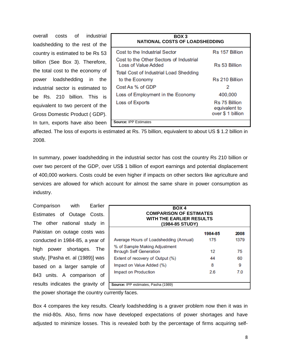overall costs of industrial loadshedding to the rest of the country is estimated to be Rs 53 billion (See Box 3). Therefore, the total cost to the economy of power loadshedding in the industrial sector is estimated to be Rs. 210 billion. This is equivalent to two percent of the Gross Domestic Product ( GDP). In turn, exports have also been

| BOX 3<br><b>NATIONAL COSTS OF LOADSHEDDING</b>                        |                                                     |  |
|-----------------------------------------------------------------------|-----------------------------------------------------|--|
| Cost to the Industrial Sector                                         | Rs 157 Billion                                      |  |
| Cost to the Other Sectors of Industrial<br><b>Loss of Value Added</b> | Rs 53 Billion                                       |  |
| <b>Total Cost of Industrial Load Shedding</b>                         |                                                     |  |
| to the Economy                                                        | Rs 210 Billion                                      |  |
| Cost As % of GDP                                                      | 2                                                   |  |
| Loss of Employment in the Economy                                     | 400,000                                             |  |
| Loss of Exports                                                       | Rs 75 Billion<br>equivalent to<br>over \$ 1 billion |  |
| <b>Source: IPP Estimates</b>                                          |                                                     |  |

affected. The loss of exports is estimated at Rs. 75 billion, equivalent to about US \$ 1.2 billion in 2008.

In summary, power loadshedding in the industrial sector has cost the country Rs 210 billion or over two percent of the GDP, over US\$ 1 billion of export earnings and potential displacement of 400,000 workers. Costs could be even higher if impacts on other sectors like agriculture and services are allowed for which account for almost the same share in power consumption as industry.

Comparison with Earlier Estimates of Outage Costs. The other national study in Pakistan on outage costs was conducted in 1984-85, a year of high power shortages. The study, [Pasha et. al (1989)] was based on a larger sample of 843 units. A comparison of results indicates the gravity of

| BOX 4<br><b>COMPARISON OF ESTIMATES</b><br><b>WITH THE EARLIER RESULTS</b><br>(1984-85 STUDY) |         |      |
|-----------------------------------------------------------------------------------------------|---------|------|
|                                                                                               | 1984-85 | 2008 |
| Average Hours of Loadshedding (Annual)                                                        | 175     | 1379 |
| % of Sample Making Adjustment<br>through Self Generation                                      | 12      | 75   |
| Extent of recovery of Output (%)                                                              | 44      | 60   |
| Impact on Value Added (%)                                                                     | 8       | 9    |
| Impact on Production                                                                          | 2.6     | 7.0  |

the power shortage the country currently faces.

Box 4 compares the key results. Clearly loadshedding is a graver problem now then it was in the mid-80s. Also, firms now have developed expectations of power shortages and have adjusted to minimize losses. This is revealed both by the percentage of firms acquiring self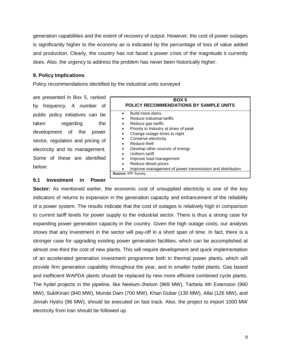generation capabilities and the extent of recovery of output. However, the cost of power outages is significantly higher to the economy as is indicated by the percentage of loss of value added and production. Clearly, the country has not faced a power crisis of the magnitude it currently does. Also, the urgency to address the problem has never been historically higher.

#### **9. Policy Implications**

Policy recommendations identified by the industrial units surveyed

are presented in Box 5, ranked by frequency. A number of public policy initiatives can be taken regarding the development of the power sector, regulation and pricing of electricity and its management. Some of these are identified below:

#### **9.1 Investment in Power**

| BOX <sub>5</sub><br>POLICY RECOMMENDATIONS BY SAMPLE UNITS |  |  |
|------------------------------------------------------------|--|--|
| Build more dams                                            |  |  |
| Reduce industrial tariffs                                  |  |  |
| Reduce gas tariffs<br>٠                                    |  |  |
| Priority to Industry at times of peak                      |  |  |
| Change outage times to night<br>$\bullet$                  |  |  |
| Conserve electricity<br>$\bullet$                          |  |  |
| Reduce theft                                               |  |  |
| Develop other sources of energy                            |  |  |
| Uniform tariff<br>$\bullet$                                |  |  |
| Improve load management<br>$\bullet$                       |  |  |
| Reduce diesel prices                                       |  |  |
| Improve management of power transmission and distribution  |  |  |
| Source: IPP Survey                                         |  |  |

**Sector:** As mentioned earlier, the economic cost of unsupplied electricity is one of the key indicators of returns to expansion in the generation capacity and enhancement of the reliability of a power system. The results indicate that the cost of outages is relatively high in comparison to current tariff levels for power supply to the industrial sector. There is thus a strong case for expanding power generation capacity in the country. Given the high outage costs, our analysis shows that any investment in the sector will pay-off in a short span of time. In fact, there is a stronger case for upgrading existing power generation facilities, which can be accomplished at almost one-third the cost of new plants. This will require development and quick implementation of an accelerated generation investment programme both in thermal power plants, which will provide firm generation capability throughout the year, and in smaller hydel plants. Gas based and inefficient WAPDA plants should be replaced by new more efficient combined cycle plants. The hydel projects in the pipeline, like Neelum-Jhelum (969 MW), Tarbela 4th Extension (960 MW), SukiKinari (840 MW), Munda Dam (700 MW), Khan Dubar (130 MW), Allai (126 MW), and Jinnah Hydro (96 MW), should be executed on fast track. Also, the project to import 1000 MW electricity from Iran should be followed up.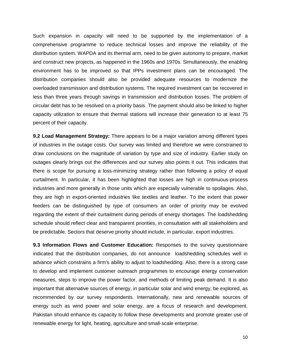Such expansion in capacity will need to be supported by the implementation of a comprehensive programme to reduce technical losses and improve the reliability of the distribution system. WAPDA and its thermal arm, need to be given autonomy to prepare, market and construct new projects, as happened in the 1960s and 1970s. Simultaneously, the enabling environment has to be improved so that IPPs investment plans can be encouraged. The distribution companies should also be provided adequate resources to modernize the overloaded transmission and distribution systems. The required investment can be recovered in less than three years through savings in transmission and distribution losses. The problem of circular debt has to be resolved on a priority basis. The payment should also be linked to higher capacity utilization to ensure that thermal stations will increase their generation to at least 75 percent of their capacity.

**9.2 Load Management Strategy:** There appears to be a major variation among different types of industries in the outage costs. Our survey was limited and therefore we were constrained to draw conclusions on the magnitude of variation by type and size of industry. Earlier study on outages clearly brings out the differences and our survey also points it out. This indicates that there is scope for pursuing a loss-minimizing strategy rather than following a policy of equal curtailment. In particular, it has been highlighted that losses are high in continuous-process industries and more generally in those units which are especially vulnerable to spoilages. Also, they are high in export-oriented industries like textiles and leather. To the extent that power feeders can be distinguished by type of consumers an order of priority may be evolved regarding the extent of their curtailment during periods of energy shortages. The loadshedding schedule should reflect clear and transparent priorities, in consultation with all stakeholders and be predictable. Sectors that deserve priority should include, in particular, export industries.

**9.3 Information Flows and Customer Education:** Responses to the survey questionnaire indicated that the distribution companies, do not announce loadshedding schedules well in advance which constrains a firm's ability to adjust to loadshedding. Also, there is a strong case to develop and implement customer outreach programmes to encourage energy conservation measures, steps to improve the power factor, and methods of limiting peak demand. It is also important that alternative sources of energy, in particular solar and wind energy, be explored, as recommended by our survey respondents. Internationally, new and renewable sources of energy such as wind power and solar energy, are a focus of research and development. Pakistan should enhance its capacity to follow these developments and promote greater use of renewable energy for light, heating, agriculture and small-scale enterprise.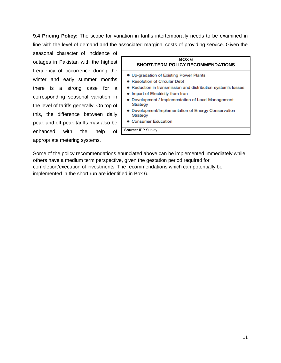**9.4 Pricing Policy:** The scope for variation in tariffs intertemporally needs to be examined in line with the level of demand and the associated marginal costs of providing service. Given the

seasonal character of incidence of outages in Pakistan with the highest frequency of occurrence during the winter and early summer months there is a strong case for a corresponding seasonal variation in the level of tariffs generally. On top of this, the difference between daily peak and off-peak tariffs may also be enhanced with the help of appropriate metering systems.



Some of the policy recommendations enunciated above can be implemented immediately while others have a medium term perspective, given the gestation period required for completion/execution of investments. The recommendations which can potentially be implemented in the short run are identified in Box 6.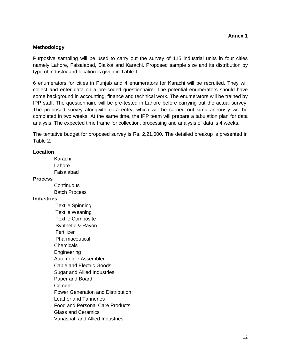## **Methodology**

Purposive sampling will be used to carry out the survey of 115 industrial units in four cities namely Lahore, Faisalabad, Sialkot and Karachi. Proposed sample size and its distribution by type of industry and location is given in Table 1.

6 enumerators for cities in Punjab and 4 enumerators for Karachi will be recruited. They will collect and enter data on a pre-coded questionnaire. The potential enumerators should have some background in accounting, finance and technical work. The enumerators will be trained by IPP staff. The questionnaire will be pre-tested in Lahore before carrying out the actual survey. The proposed survey alongwith data entry, which will be carried out simultaneously will be completed in two weeks. At the same time, the IPP team will prepare a tabulation plan for data analysis. The expected time frame for collection, processing and analysis of data is 4 weeks.

The tentative budget for proposed survey is Rs. 2,21,000. The detailed breakup is presented in Table 2.

#### **Location**

 Karachi Lahore Faisalabad

#### **Process**

**Continuous** Batch Process

### **Industries**

 Textile Spinning Textile Weaning Textile Composite Synthetic & Rayon Fertilizer Pharmaceutical Chemicals Engineering Automobile Assembler Cable and Electric Goods Sugar and Allied Industries Paper and Board **Cement**  Power Generation and Distribution Leather and Tanneries Food and Personal Care Products Glass and Ceramics Vanaspati and Allied Industries